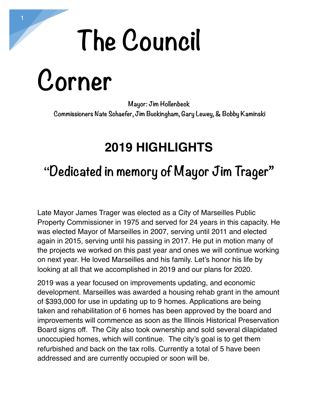### **The Council**

**Corner** 

**Mayor: Jim Hollenbeck Commissioners Nate Schaefer, Jim Buckingham, Gary Lewey, & Bobby Kaminski** 

#### **2019 HIGHLIGHTS**

### **"Dedicated in memory of Mayor Jim Trager"**

Late Mayor James Trager was elected as a City of Marseilles Public Property Commissioner in 1975 and served for 24 years in this capacity. He was elected Mayor of Marseilles in 2007, serving until 2011 and elected again in 2015, serving until his passing in 2017. He put in motion many of the projects we worked on this past year and ones we will continue working on next year. He loved Marseilles and his family. Let's honor his life by looking at all that we accomplished in 2019 and our plans for 2020.

2019 was a year focused on improvements updating, and economic development. Marseilles was awarded a housing rehab grant in the amount of \$393,000 for use in updating up to 9 homes. Applications are being taken and rehabilitation of 6 homes has been approved by the board and improvements will commence as soon as the Illinois Historical Preservation Board signs off. The City also took ownership and sold several dilapidated unoccupied homes, which will continue. The city's goal is to get them refurbished and back on the tax rolls. Currently a total of 5 have been addressed and are currently occupied or soon will be.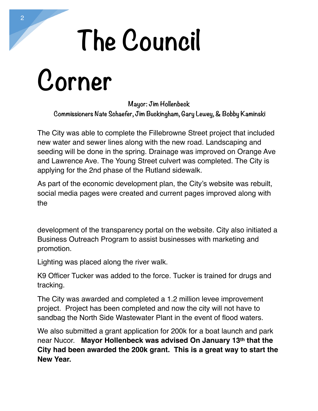# **The Council**

**Corner** 

**Mayor: Jim Hollenbeck Commissioners Nate Schaefer, Jim Buckingham, Gary Lewey, & Bobby Kaminski** 

The City was able to complete the Fillebrowne Street project that included new water and sewer lines along with the new road. Landscaping and seeding will be done in the spring. Drainage was improved on Orange Ave and Lawrence Ave. The Young Street culvert was completed. The City is applying for the 2nd phase of the Rutland sidewalk.

As part of the economic development plan, the City's website was rebuilt, social media pages were created and current pages improved along with the

development of the transparency portal on the website. City also initiated a Business Outreach Program to assist businesses with marketing and promotion.

Lighting was placed along the river walk.

K9 Officer Tucker was added to the force. Tucker is trained for drugs and tracking.

The City was awarded and completed a 1.2 million levee improvement project. Project has been completed and now the city will not have to sandbag the North Side Wastewater Plant in the event of flood waters.

We also submitted a grant application for 200k for a boat launch and park near Nucor. **Mayor Hollenbeck was advised On January 13th that the City had been awarded the 200k grant. This is a great way to start the New Year.**